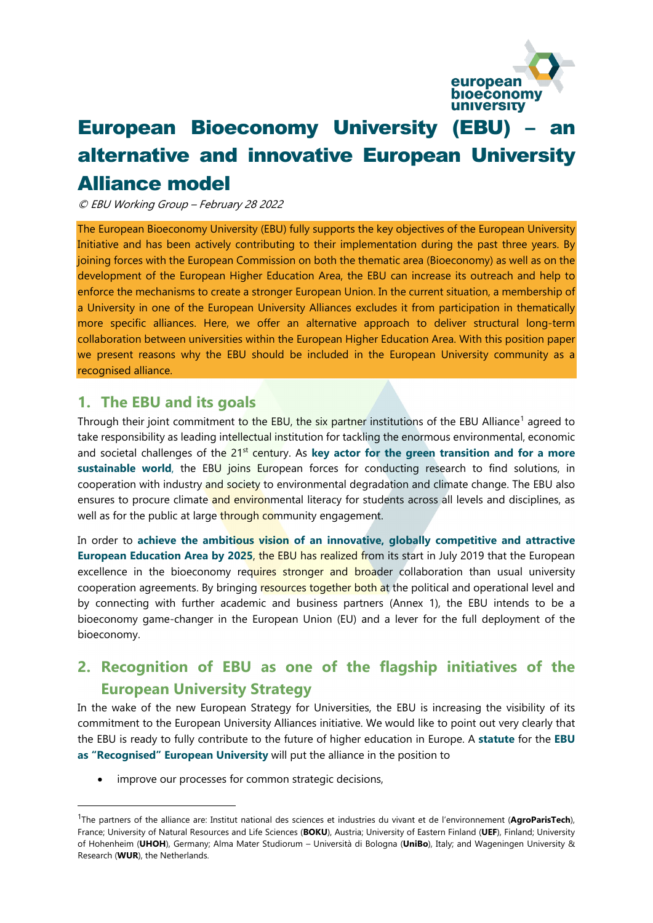

# **European Bioeconomy University (EBU)** alternative and innovative European University Alliance model

© EBU Working Group – February 28 2022

The European Bioeconomy University (EBU) fully supports the key objectives of the European University Initiative and has been actively contributing to their implementation during the past three years. By joining forces with the European Commission on both the thematic area (Bioeconomy) as well as on the development of the European Higher Education Area, the EBU can increase its outreach and help to enforce the mechanisms to create a stronger European Union. In the current situation, a membership of a University in one of the European University Alliances excludes it from participation in thematically more specific alliances. Here, we offer an alternative approach to deliver structural long-term collaboration between universities within the European Higher Education Area. With this position paper we present reasons why the EBU should be included in the European University community as a recognised alliance.

### **1. The EBU and its goals**

Through their joint commitment to the EBU, the six partner institutions of the EBU Alliance<sup>[1](#page-0-0)</sup> agreed to take responsibility as leading intellectual institution for tackling the enormous environmental, economic and societal challenges of the 21<sup>st</sup> century. As key actor for the green transition and for a more **sustainable world**, the EBU joins European forces for conducting research to find solutions, in cooperation with industry and society to environmental degradation and climate change. The EBU also ensures to procure climate and environmental literacy for students across all levels and disciplines, as well as for the public at large through community engagement.

In order to **achieve the ambitious vision of an innovative, globally competitive and attractive European Education Area by 2025**, the EBU has realized from its start in July 2019 that the European excellence in the bioeconomy requires stronger and broader collaboration than usual university cooperation agreements. By bringing resources together both at the political and operational level and by connecting with further academic and business partners (Annex 1), the EBU intends to be a bioeconomy game-changer in the European Union (EU) and a lever for the full deployment of the bioeconomy.

## **2. Recognition of EBU as one of the flagship initiatives of the European University Strategy**

In the wake of the new European Strategy for Universities, the EBU is increasing the visibility of its commitment to the European University Alliances initiative. We would like to point out very clearly that the EBU is ready to fully contribute to the future of higher education in Europe. A **statute** for the **EBU as "Recognised" European University** will put the alliance in the position to

improve our processes for common strategic decisions,

<span id="page-0-0"></span> <sup>1</sup>The partners of the alliance are: Institut national des sciences et industries du vivant et de l'environnement (**AgroParisTech**), France; University of Natural Resources and Life Sciences (**BOKU**), Austria; University of Eastern Finland (**UEF**), Finland; University of Hohenheim (**UHOH**), Germany; Alma Mater Studiorum – Università di Bologna (**UniBo**), Italy; and Wageningen University & Research (**WUR**), the Netherlands.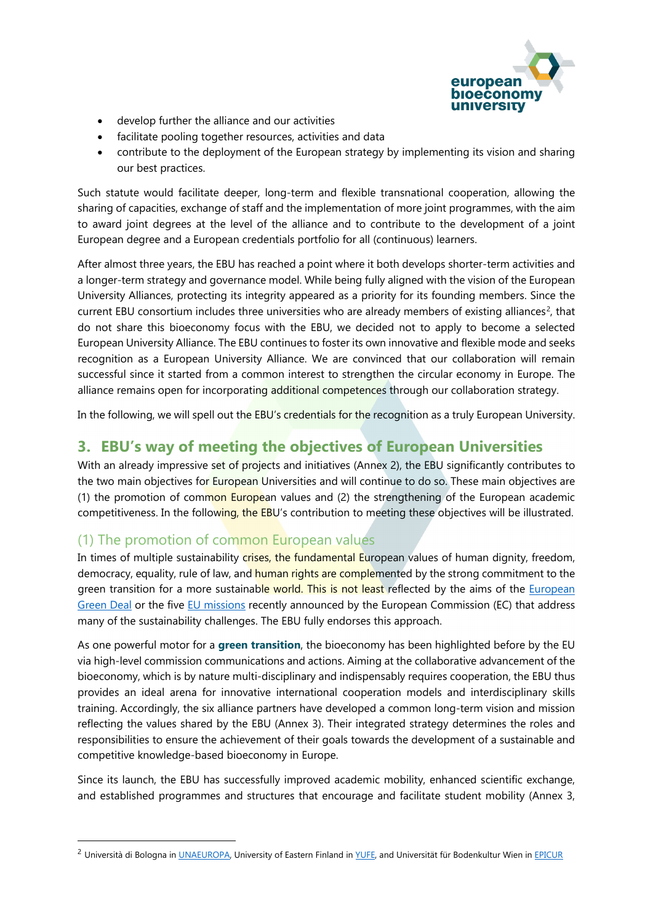

- develop further the alliance and our activities
- facilitate pooling together resources, activities and data
- contribute to the deployment of the European strategy by implementing its vision and sharing our best practices.

Such statute would facilitate deeper, long-term and flexible transnational cooperation, allowing the sharing of capacities, exchange of staff and the implementation of more joint programmes, with the aim to award joint degrees at the level of the alliance and to contribute to the development of a joint European degree and a European credentials portfolio for all (continuous) learners.

After almost three years, the EBU has reached a point where it both develops shorter-term activities and a longer-term strategy and governance model. While being fully aligned with the vision of the European University Alliances, protecting its integrity appeared as a priority for its founding members. Since the current EBU consortium includes three universities who are already members of existing alliances<sup>2</sup>, that do not share this bioeconomy focus with the EBU, we decided not to apply to become a selected European University Alliance. The EBU continues to foster its own innovative and flexible mode and seeks recognition as a European University Alliance. We are convinced that our collaboration will remain successful since it started from a common interest to strengthen the circular economy in Europe. The alliance remains open for incorporating additional competences through our collaboration strategy.

In the following, we will spell out the EBU's credentials for the recognition as a truly European University.

## **3. EBU's way of meeting the objectives of European Universities**

With an already impressive set of projects and initiatives (Annex 2), the EBU significantly contributes to the two main objectives for European Universities and will continue to do so. These main objectives are (1) the promotion of common European values and (2) the strengthening of the European academic competitiveness. In the following, the EBU's contribution to meeting these objectives will be illustrated.

### (1) The promotion of common European values

In times of multiple sustainability crises, the fundamental European values of human dignity, freedom, democracy, equality, rule of law, and human rights are complemented by the strong commitment to the green transition for a more sustainable world. This is not least reflected by the aims of the European [Green Deal](https://ec.europa.eu/info/strategy/priorities-2019-2024/european-green-deal_en) or the five [EU missions](https://ec.europa.eu/info/sites/default/files/research_and_innovation/funding/documents/ec_com_heu_randi_missions_29092021.pdf) recently announced by the European Commission (EC) that address many of the sustainability challenges. The EBU fully endorses this approach.

As one powerful motor for a **green transition**, the bioeconomy has been highlighted before by the EU via high-level commission communications and actions. Aiming at the collaborative advancement of the bioeconomy, which is by nature multi-disciplinary and indispensably requires cooperation, the EBU thus provides an ideal arena for innovative international cooperation models and interdisciplinary skills training. Accordingly, the six alliance partners have developed a common long-term vision and mission reflecting the values shared by the EBU (Annex 3). Their integrated strategy determines the roles and responsibilities to ensure the achievement of their goals towards the development of a sustainable and competitive knowledge-based bioeconomy in Europe.

Since its launch, the EBU has successfully improved academic mobility, enhanced scientific exchange, and established programmes and structures that encourage and facilitate student mobility (Annex 3,

<span id="page-1-0"></span><sup>&</sup>lt;sup>2</sup> Università di Bologna in [UNAEUROPA,](https://www.una-europa.eu/) University of Eastern Finland i[n YUFE,](https://yufe.eu/) and Universität für Bodenkultur Wien i[n EPICUR](https://epicur.education/de/)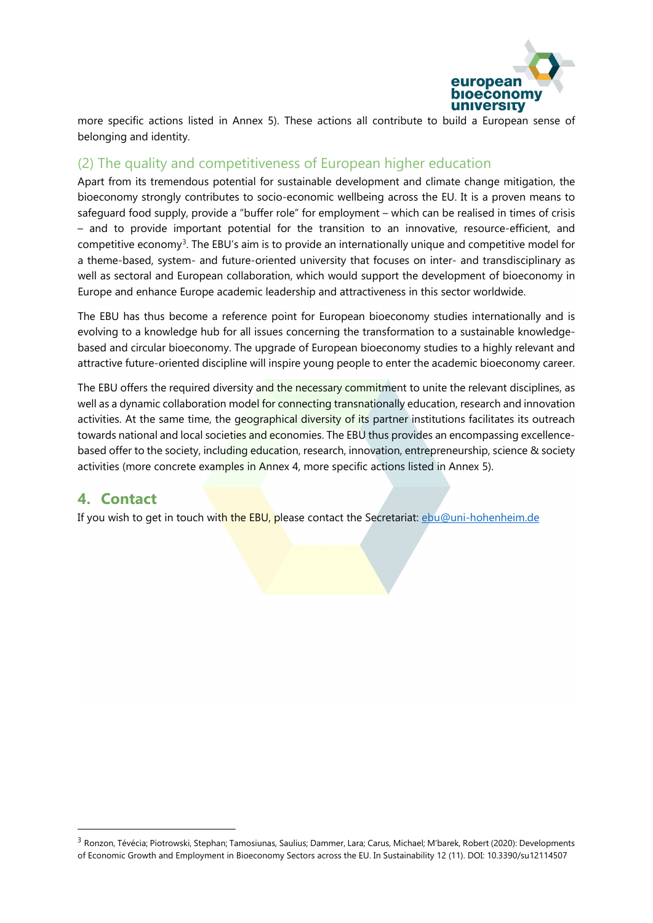

more specific actions listed in Annex 5). These actions all contribute to build a European sense of belonging and identity.

## (2) The quality and competitiveness of European higher education

Apart from its tremendous potential for sustainable development and climate change mitigation, the bioeconomy strongly contributes to socio-economic wellbeing across the EU. It is a proven means to safeguard food supply, provide a "buffer role" for employment – which can be realised in times of crisis – and to provide important potential for the transition to an innovative, resource-efficient, and competitive economy[3.](#page-2-0) The EBU's aim is to provide an internationally unique and competitive model for a theme-based, system- and future-oriented university that focuses on inter- and transdisciplinary as well as sectoral and European collaboration, which would support the development of bioeconomy in Europe and enhance Europe academic leadership and attractiveness in this sector worldwide.

The EBU has thus become a reference point for European bioeconomy studies internationally and is evolving to a knowledge hub for all issues concerning the transformation to a sustainable knowledgebased and circular bioeconomy. The upgrade of European bioeconomy studies to a highly relevant and attractive future-oriented discipline will inspire young people to enter the academic bioeconomy career.

The EBU offers the required diversity and the necessary commitment to unite the relevant disciplines, as well as a dynamic collaboration model for connecting transnationally education, research and innovation activities. At the same time, the geographical diversity of its partner institutions facilitates its outreach towards national and local societies and economies. The EBU thus provides an encompassing excellencebased offer to the society, including education, research, innovation, entrepreneurship, science & society activities (more concrete examples in Annex 4, more specific actions listed in Annex 5).

## **4. Contact**

If you wish to get in touch with the EBU, please contact the Secretariat: [ebu@uni-hohenheim.de](mailto:ebu@uni-hohenheim.de)

<span id="page-2-0"></span> <sup>3</sup> Ronzon, Tévécia; Piotrowski, Stephan; Tamosiunas, Saulius; Dammer, Lara; Carus, Michael; M'barek, Robert (2020): Developments of Economic Growth and Employment in Bioeconomy Sectors across the EU. In Sustainability 12 (11). DOI: 10.3390/su12114507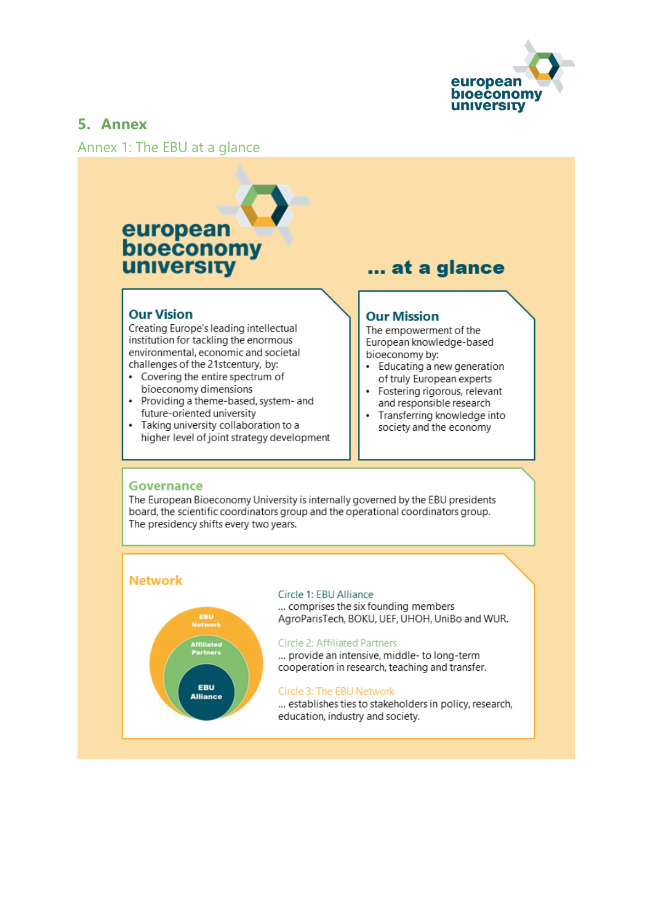

## **5. Annex**

Annex 1: The EBU at a glance

# european bioeconomy **university**

#### **Our Vision**

Creating Europe's leading intellectual institution for tackling the enormous environmental, economic and societal challenges of the 21stcentury, by:

- Covering the entire spectrum of bioeconomy dimensions
- Providing a theme-based, system- and future-oriented university
- Taking university collaboration to a  $\ddot{\phantom{0}}$ higher level of joint strategy development

## ... at a glance

#### **Our Mission**

The empowerment of the European knowledge-based bioeconomy by:

- Educating a new generation of truly European experts
- Fostering rigorous, relevant and responsible research
- Transferring knowledge into society and the economy

#### **Governance**

The European Bioeconomy University is internally governed by the EBU presidents board, the scientific coordinators group and the operational coordinators group. The presidency shifts every two years.

#### **Network**



#### Circle 1: EBU Alliance

... comprises the six founding members AgroParisTech, BOKU, UEF, UHOH, UniBo and WUR.

#### **Circle 2: Affiliated Partners**

... provide an intensive, middle- to long-term cooperation in research, teaching and transfer.

#### Circle 3: The EBU Network

... establishes ties to stakeholders in policy, research, education, industry and society.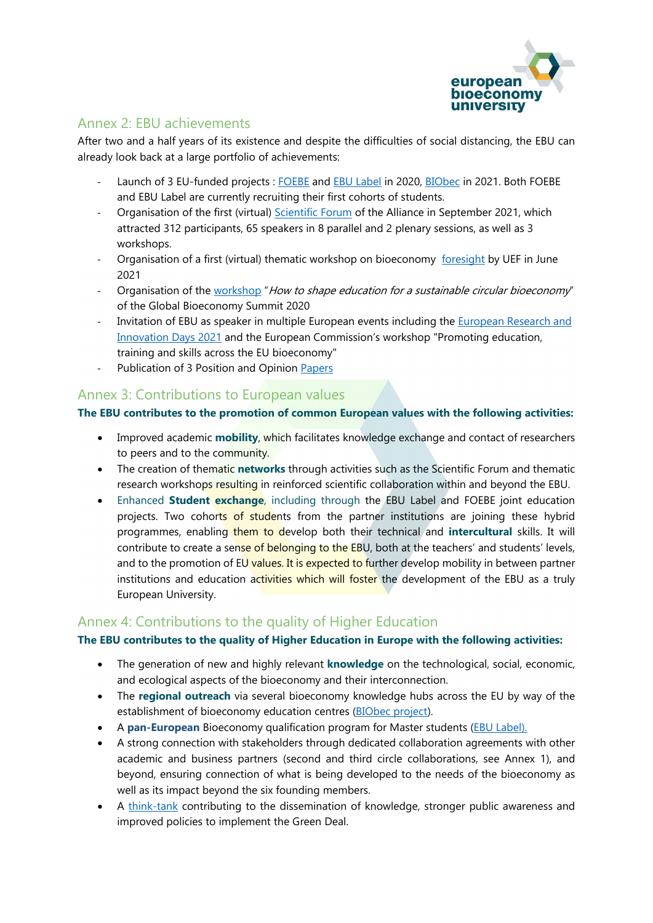

## Annex 2: EBU achievements

After two and a half years of its existence and despite the difficulties of social distancing, the EBU can already look back at a large portfolio of achievements:

- Launch of 3 EU-funded projects [: FOEBE](https://european-bioeconomy-university.eu/education/foebe-fostering-entrepreneurship-for-the-bioeconomy/) and [EBU Label](https://european-bioeconomy-university.eu/education/ebu-label/) in 2020, [BIObec](https://biobec.eu/) in 2021. Both FOEBE and EBU Label are currently recruiting their first cohorts of students.
- Organisation of the first (virtual) [Scientific Forum](https://european-bioeconomy-university.eu/research-and-innovation/scientific-forum-2021/) of the Alliance in September 2021, which attracted 312 participants, 65 speakers in 8 parallel and 2 plenary sessions, as well as 3 workshops.
- Organisation of a first (virtual) thematic workshop on bioeconomy [foresight](https://european-bioeconomy-university.eu/ebu-alliance-initiates-research-collaboration-an-online-workshop-discussed-bioeconomy-foresight/) by UEF in June 2021
- Organisation of the [workshop](https://european-bioeconomy-university.eu/get-involved/public-engagements/) "How to shape education for a sustainable circular bioeconomy" of the Global Bioeconomy Summit 2020
- Invitation of EBU as speaker in multiple European events including the [European Research and](https://ec.europa.eu/research-and-innovation/en/events/upcoming-events/research-innovation-days)  [Innovation Days 2021](https://ec.europa.eu/research-and-innovation/en/events/upcoming-events/research-innovation-days) and the European Commission's workshop "Promoting education, training and skills across the EU bioeconomy"
- Publication of 3 Position and Opinion [Papers](https://european-bioeconomy-university.eu/get-involved/think-tank/position-papers/)

## Annex 3: Contributions to European values

#### **The EBU contributes to the promotion of common European values with the following activities:**

- Improved academic **mobility**, which facilitates knowledge exchange and contact of researchers to peers and to the community.
- The creation of thematic **networks** through activities such as the Scientific Forum and thematic research workshops resulting in reinforced scientific collaboration within and beyond the EBU.
- Enhanced **Student exchange**, including through the EBU Label and FOEBE joint education projects. Two cohorts of students from the partner institutions are joining these hybrid programmes, enabling them to develop both their technical and **intercultural** skills. It will contribute to create a sense of belonging to the EBU, both at the teachers' and students' levels, and to the promotion of EU values. It is expected to further develop mobility in between partner institutions and education activities which will foster the development of the EBU as a truly European University.

## Annex 4: Contributions to the quality of Higher Education

#### **The EBU contributes to the quality of Higher Education in Europe with the following activities:**

- The generation of new and highly relevant **knowledge** on the technological, social, economic, and ecological aspects of the bioeconomy and their interconnection.
- The **regional outreach** via several bioeconomy knowledge hubs across the EU by way of the establishment of bioeconomy education centres [\(BIObec project\)](https://biobec.eu/).
- A **pan-European** Bioeconomy qualification program for Master students [\(EBU Label\)](https://european-bioeconomy-university.eu/education/ebu-label/).
- A strong connection with stakeholders through dedicated collaboration agreements with other academic and business partners (second and third circle collaborations, see Annex 1), and beyond, ensuring connection of what is being developed to the needs of the bioeconomy as well as its impact beyond the six founding members.
- A [think-tank](https://european-bioeconomy-university.eu/get-involved/think-tank/) contributing to the dissemination of knowledge, stronger public awareness and improved policies to implement the Green Deal.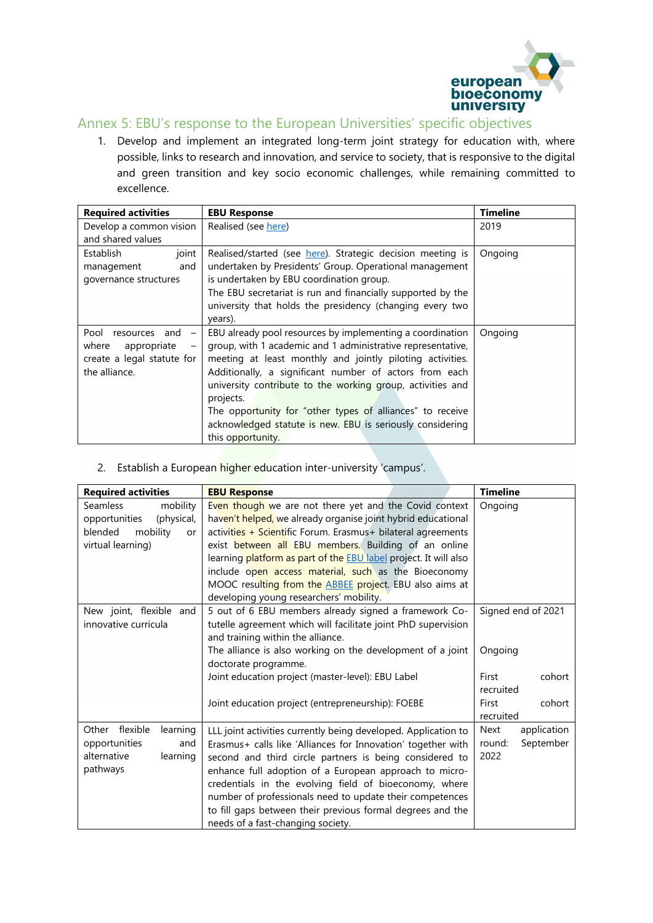

## Annex 5: EBU's response to the European Universities' specific objectives

1. Develop and implement an integrated long-term joint strategy for education with, where possible, links to research and innovation, and service to society, that is responsive to the digital and green transition and key socio economic challenges, while remaining committed to excellence.

| <b>Required activities</b>                        | <b>EBU Response</b>                                         | <b>Timeline</b> |
|---------------------------------------------------|-------------------------------------------------------------|-----------------|
| Develop a common vision                           | Realised (see here)                                         | 2019            |
| and shared values                                 |                                                             |                 |
| joint<br><b>Establish</b>                         | Realised/started (see here). Strategic decision meeting is  | Ongoing         |
| management<br>and                                 | undertaken by Presidents' Group. Operational management     |                 |
| governance structures                             | is undertaken by EBU coordination group.                    |                 |
|                                                   | The EBU secretariat is run and financially supported by the |                 |
|                                                   | university that holds the presidency (changing every two    |                 |
|                                                   | years).                                                     |                 |
| Pool<br>resources and<br>$\overline{\phantom{m}}$ | EBU already pool resources by implementing a coordination   | Ongoing         |
| where<br>appropriate<br>$\qquad \qquad -$         | group, with 1 academic and 1 administrative representative, |                 |
| create a legal statute for                        | meeting at least monthly and jointly piloting activities.   |                 |
| the alliance.                                     | Additionally, a significant number of actors from each      |                 |
|                                                   | university contribute to the working group, activities and  |                 |
|                                                   | projects.                                                   |                 |
|                                                   | The opportunity for "other types of alliances" to receive   |                 |
|                                                   | acknowledged statute is new. EBU is seriously considering   |                 |
|                                                   | this opportunity.                                           |                 |

#### 2. Establish a European higher education inter-university 'campus'.

| <b>Required activities</b>                                                                                   | <b>EBU Response</b>                                                                                                                                                                                                                                                                                                                                                                                                                                                                            | <b>Timeline</b>                                           |
|--------------------------------------------------------------------------------------------------------------|------------------------------------------------------------------------------------------------------------------------------------------------------------------------------------------------------------------------------------------------------------------------------------------------------------------------------------------------------------------------------------------------------------------------------------------------------------------------------------------------|-----------------------------------------------------------|
| <b>Seamless</b><br>mobility<br>(physical,<br>opportunities<br>mobility<br>blended<br>or<br>virtual learning) | Even though we are not there yet and the Covid context<br>haven't helped, we already organise joint hybrid educational<br>activities + Scientific Forum. Erasmus+ bilateral agreements<br>exist between all EBU members. Building of an online<br>learning platform as part of the <b>EBU</b> label project. It will also<br>include open access material, such as the Bioeconomy<br>MOOC resulting from the <b>ABBEE</b> project. EBU also aims at<br>developing young researchers' mobility. | Ongoing                                                   |
| New joint, flexible and<br>innovative curricula                                                              | 5 out of 6 EBU members already signed a framework Co-<br>tutelle agreement which will facilitate joint PhD supervision<br>and training within the alliance.                                                                                                                                                                                                                                                                                                                                    | Signed end of 2021                                        |
|                                                                                                              | The alliance is also working on the development of a joint<br>doctorate programme.                                                                                                                                                                                                                                                                                                                                                                                                             | Ongoing                                                   |
|                                                                                                              | Joint education project (master-level): EBU Label                                                                                                                                                                                                                                                                                                                                                                                                                                              | First<br>cohort<br>recruited                              |
|                                                                                                              | Joint education project (entrepreneurship): FOEBE                                                                                                                                                                                                                                                                                                                                                                                                                                              | First<br>cohort<br>recruited                              |
| Other flexible<br>learning<br>opportunities<br>and<br>alternative<br>learning<br>pathways                    | LLL joint activities currently being developed. Application to<br>Erasmus+ calls like 'Alliances for Innovation' together with<br>second and third circle partners is being considered to<br>enhance full adoption of a European approach to micro-<br>credentials in the evolving field of bioeconomy, where<br>number of professionals need to update their competences<br>to fill gaps between their previous formal degrees and the<br>needs of a fast-changing society.                   | <b>Next</b><br>application<br>September<br>round:<br>2022 |